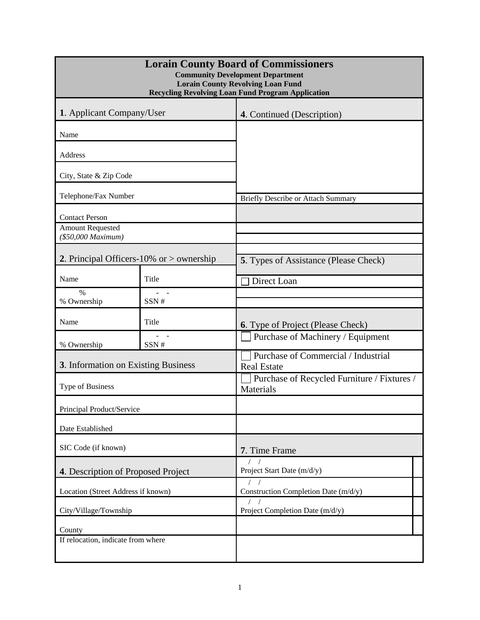| <b>Lorain County Board of Commissioners</b><br><b>Community Development Department</b><br><b>Lorain County Revolving Loan Fund</b><br><b>Recycling Revolving Loan Fund Program Application</b> |       |                                                           |  |  |  |  |
|------------------------------------------------------------------------------------------------------------------------------------------------------------------------------------------------|-------|-----------------------------------------------------------|--|--|--|--|
| 1. Applicant Company/User                                                                                                                                                                      |       | 4. Continued (Description)                                |  |  |  |  |
| Name                                                                                                                                                                                           |       |                                                           |  |  |  |  |
| Address                                                                                                                                                                                        |       |                                                           |  |  |  |  |
| City, State & Zip Code                                                                                                                                                                         |       |                                                           |  |  |  |  |
| Telephone/Fax Number                                                                                                                                                                           |       | <b>Briefly Describe or Attach Summary</b>                 |  |  |  |  |
| <b>Contact Person</b><br><b>Amount Requested</b><br>(\$50,000 Maximum)                                                                                                                         |       |                                                           |  |  |  |  |
| 2. Principal Officers-10% or $>$ ownership                                                                                                                                                     |       | <b>5.</b> Types of Assistance (Please Check)              |  |  |  |  |
| Name                                                                                                                                                                                           | Title | Direct Loan                                               |  |  |  |  |
| %<br>% Ownership                                                                                                                                                                               | SSN#  |                                                           |  |  |  |  |
| Name                                                                                                                                                                                           | Title | <b>6.</b> Type of Project (Please Check)                  |  |  |  |  |
| % Ownership                                                                                                                                                                                    | SSN#  | Purchase of Machinery / Equipment                         |  |  |  |  |
| 3. Information on Existing Business                                                                                                                                                            |       | Purchase of Commercial / Industrial<br><b>Real Estate</b> |  |  |  |  |
| Type of Business                                                                                                                                                                               |       | Purchase of Recycled Furniture / Fixtures /<br>Materials  |  |  |  |  |
| Principal Product/Service                                                                                                                                                                      |       |                                                           |  |  |  |  |
| Date Established                                                                                                                                                                               |       |                                                           |  |  |  |  |
| SIC Code (if known)                                                                                                                                                                            |       | 7. Time Frame                                             |  |  |  |  |
| 4. Description of Proposed Project                                                                                                                                                             |       | Project Start Date (m/d/y)                                |  |  |  |  |
| Location (Street Address if known)                                                                                                                                                             |       | Construction Completion Date (m/d/y)                      |  |  |  |  |
| City/Village/Township                                                                                                                                                                          |       | Project Completion Date (m/d/y)                           |  |  |  |  |
| County                                                                                                                                                                                         |       |                                                           |  |  |  |  |
| If relocation, indicate from where                                                                                                                                                             |       |                                                           |  |  |  |  |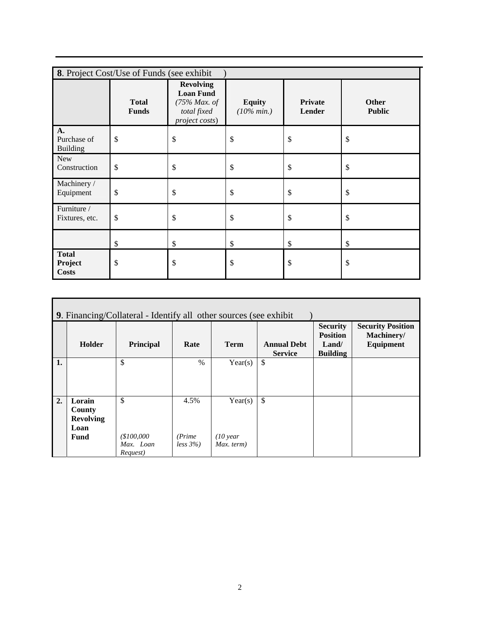| 8. Project Cost/Use of Funds (see exhibit) |                              |                                                                                          |                                |                          |                        |  |  |
|--------------------------------------------|------------------------------|------------------------------------------------------------------------------------------|--------------------------------|--------------------------|------------------------|--|--|
|                                            | <b>Total</b><br><b>Funds</b> | <b>Revolving</b><br><b>Loan Fund</b><br>$(75\%$ Max. of<br>total fixed<br>project costs) | <b>Equity</b><br>$(10\% min.)$ | <b>Private</b><br>Lender | Other<br><b>Public</b> |  |  |
| A.<br>Purchase of<br><b>Building</b>       | \$                           | \$                                                                                       | \$                             | \$                       | \$                     |  |  |
| New<br>Construction                        | \$                           | \$                                                                                       | \$                             | \$                       | \$                     |  |  |
| Machinery /<br>Equipment                   | \$                           | \$                                                                                       | \$                             | \$                       | \$                     |  |  |
| Furniture /<br>Fixtures, etc.              | \$                           | \$                                                                                       | $\boldsymbol{\mathsf{S}}$      | \$                       | \$                     |  |  |
|                                            | \$                           | \$                                                                                       | \$                             | \$                       | \$                     |  |  |
| <b>Total</b><br>Project<br><b>Costs</b>    | \$                           | \$                                                                                       | \$                             | \$                       | \$                     |  |  |

| <b>9.</b> Financing/Collateral - Identify all other sources (see exhibit) |                                                      |                                           |                               |                                              |                                      |                                                                         |                                                     |
|---------------------------------------------------------------------------|------------------------------------------------------|-------------------------------------------|-------------------------------|----------------------------------------------|--------------------------------------|-------------------------------------------------------------------------|-----------------------------------------------------|
|                                                                           | Holder                                               | Principal                                 | Rate                          | <b>Term</b>                                  | <b>Annual Debt</b><br><b>Service</b> | <b>Security</b><br><b>Position</b><br>$L$ and $\ell$<br><b>Building</b> | <b>Security Position</b><br>Machinery/<br>Equipment |
| 1.                                                                        |                                                      | \$                                        | $\frac{0}{0}$                 | Year(s)                                      | \$                                   |                                                                         |                                                     |
| 2.                                                                        | Lorain<br>County<br><b>Revolving</b><br>Loan<br>Fund | \$<br>(\$100,000<br>Max. Loan<br>Request) | 4.5%<br>(Prime)<br>$less 3\%$ | Year(s)<br>$(10 \text{ year})$<br>Max. term) | \$                                   |                                                                         |                                                     |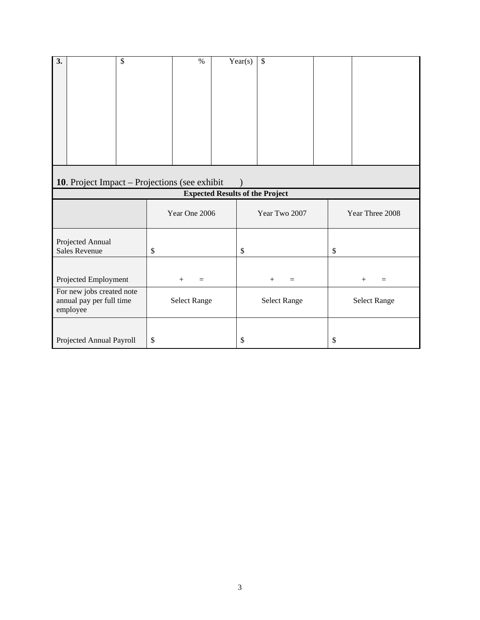| $\overline{3}$ .<br>\$                                            |               | $\%$                | Year(s) | \$            |                     |                 |    |                     |
|-------------------------------------------------------------------|---------------|---------------------|---------|---------------|---------------------|-----------------|----|---------------------|
|                                                                   |               |                     |         |               |                     |                 |    |                     |
| 10. Project Impact – Projections (see exhibit                     |               |                     |         |               |                     |                 |    |                     |
| <b>Expected Results of the Project</b>                            |               |                     |         |               |                     |                 |    |                     |
|                                                                   | Year One 2006 |                     |         | Year Two 2007 |                     | Year Three 2008 |    |                     |
| Projected Annual<br><b>Sales Revenue</b>                          | \$            |                     | \$      |               |                     |                 | \$ |                     |
| Projected Employment                                              |               | $^{+}$<br>$=$       |         |               | $+$<br>$=$          |                 |    | $+$<br>$=$          |
| For new jobs created note<br>annual pay per full time<br>employee |               | <b>Select Range</b> |         |               | <b>Select Range</b> |                 |    | <b>Select Range</b> |
| Projected Annual Payroll                                          | \$            |                     | \$      |               |                     |                 | \$ |                     |